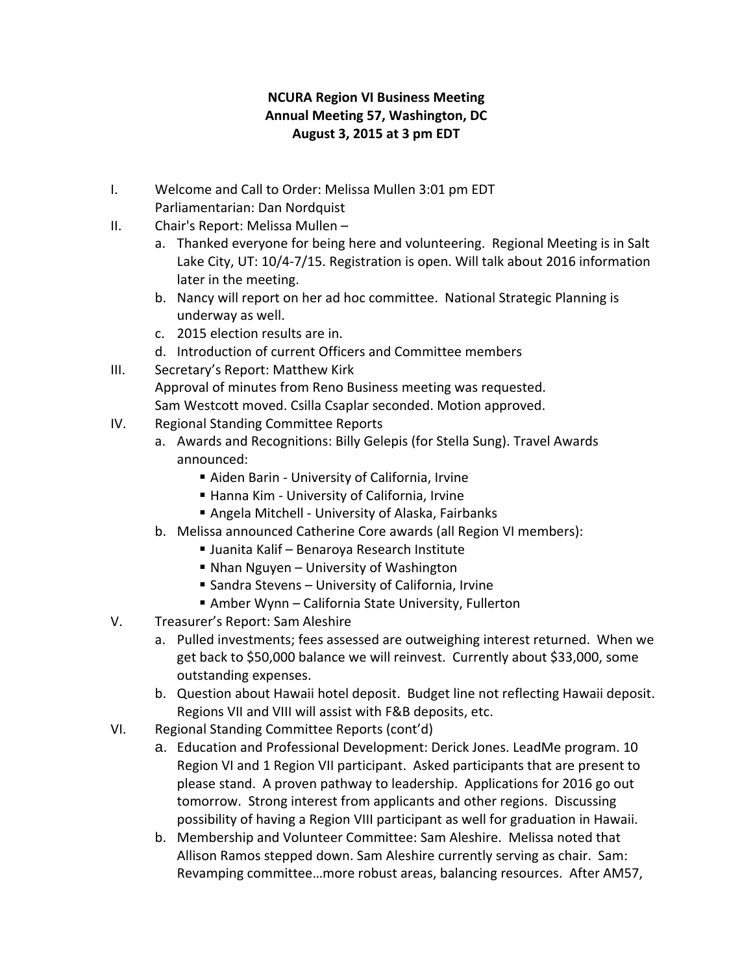## **NCURA Region VI Business Meeting Annual Meeting 57, Washington, DC August 3, 2015 at 3 pm EDT**

- I. Welcome and Call to Order: Melissa Mullen 3:01 pm EDT Parliamentarian: Dan Nordquist
- II. Chair's Report: Melissa Mullen
	- a. Thanked everyone for being here and volunteering. Regional Meeting is in Salt Lake City, UT: 10/4‐7/15. Registration is open. Will talk about 2016 information later in the meeting.
	- b. Nancy will report on her ad hoc committee. National Strategic Planning is underway as well.
	- c. 2015 election results are in.
	- d. Introduction of current Officers and Committee members
- III. Secretary's Report: Matthew Kirk

Approval of minutes from Reno Business meeting was requested. Sam Westcott moved. Csilla Csaplar seconded. Motion approved.

- IV. Regional Standing Committee Reports
	- a. Awards and Recognitions: Billy Gelepis (for Stella Sung). Travel Awards announced:
		- Aiden Barin University of California, Irvine
		- Hanna Kim University of California, Irvine
		- Angela Mitchell University of Alaska, Fairbanks
	- b. Melissa announced Catherine Core awards (all Region VI members):
		- Juanita Kalif Benaroya Research Institute
		- Nhan Nguyen University of Washington
		- Sandra Stevens University of California, Irvine
		- Amber Wynn California State University, Fullerton
- V. Treasurer's Report: Sam Aleshire
	- a. Pulled investments; fees assessed are outweighing interest returned. When we get back to \$50,000 balance we will reinvest. Currently about \$33,000, some outstanding expenses.
	- b. Question about Hawaii hotel deposit. Budget line not reflecting Hawaii deposit. Regions VII and VIII will assist with F&B deposits, etc.
- VI. Regional Standing Committee Reports (cont'd)
	- a. Education and Professional Development: Derick Jones. LeadMe program. 10 Region VI and 1 Region VII participant. Asked participants that are present to please stand. A proven pathway to leadership. Applications for 2016 go out tomorrow. Strong interest from applicants and other regions. Discussing possibility of having a Region VIII participant as well for graduation in Hawaii.
	- b. Membership and Volunteer Committee: Sam Aleshire. Melissa noted that Allison Ramos stepped down. Sam Aleshire currently serving as chair. Sam: Revamping committee…more robust areas, balancing resources. After AM57,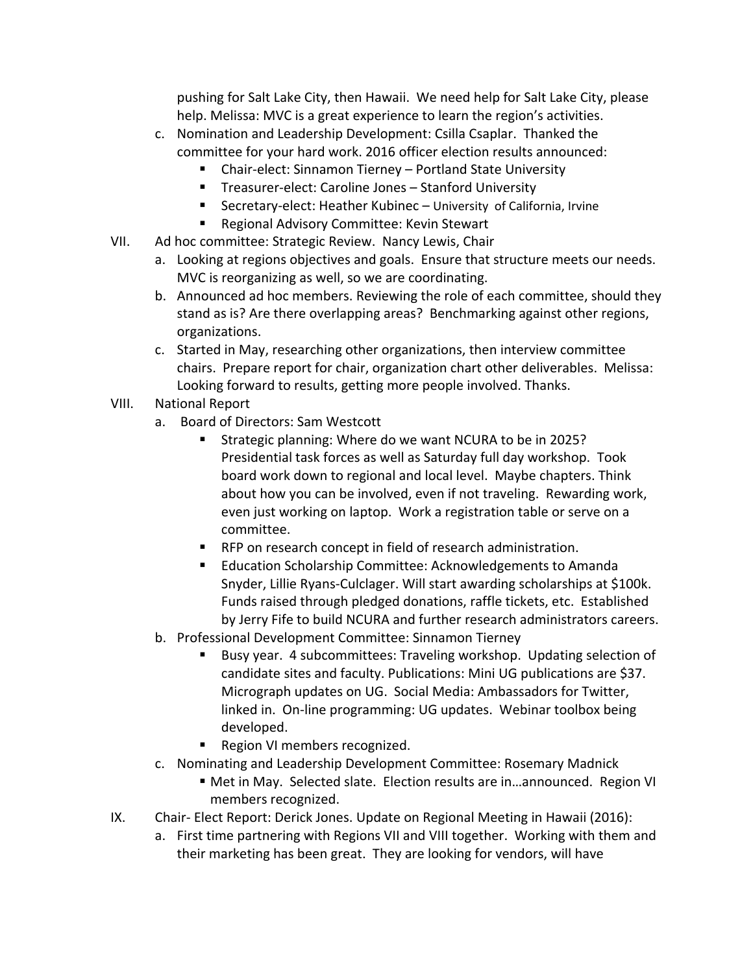pushing for Salt Lake City, then Hawaii. We need help for Salt Lake City, please help. Melissa: MVC is a great experience to learn the region's activities.

- c. Nomination and Leadership Development: Csilla Csaplar. Thanked the committee for your hard work. 2016 officer election results announced:
	- Chair-elect: Sinnamon Tierney Portland State University
	- Treasurer-elect: Caroline Jones Stanford University
	- Secretary-elect: Heather Kubinec University of California, Irvine
	- Regional Advisory Committee: Kevin Stewart
- VII. Ad hoc committee: Strategic Review. Nancy Lewis, Chair
	- a. Looking at regions objectives and goals. Ensure that structure meets our needs. MVC is reorganizing as well, so we are coordinating.
	- b. Announced ad hoc members. Reviewing the role of each committee, should they stand as is? Are there overlapping areas? Benchmarking against other regions, organizations.
	- c. Started in May, researching other organizations, then interview committee chairs. Prepare report for chair, organization chart other deliverables. Melissa: Looking forward to results, getting more people involved. Thanks.
- VIII. National Report
	- a. Board of Directors: Sam Westcott
		- **Strategic planning: Where do we want NCURA to be in 2025?** Presidential task forces as well as Saturday full day workshop. Took board work down to regional and local level. Maybe chapters. Think about how you can be involved, even if not traveling. Rewarding work, even just working on laptop. Work a registration table or serve on a committee.
		- **RFP on research concept in field of research administration.**
		- **Education Scholarship Committee: Acknowledgements to Amanda** Snyder, Lillie Ryans‐Culclager. Will start awarding scholarships at \$100k. Funds raised through pledged donations, raffle tickets, etc. Established by Jerry Fife to build NCURA and further research administrators careers.
	- b. Professional Development Committee: Sinnamon Tierney
		- Busy year. 4 subcommittees: Traveling workshop. Updating selection of candidate sites and faculty. Publications: Mini UG publications are \$37. Micrograph updates on UG. Social Media: Ambassadors for Twitter, linked in. On‐line programming: UG updates. Webinar toolbox being developed.
		- Region VI members recognized.
	- c. Nominating and Leadership Development Committee: Rosemary Madnick
		- Met in May. Selected slate. Election results are in...announced. Region VI members recognized.
- IX. Chair-Elect Report: Derick Jones. Update on Regional Meeting in Hawaii (2016):
	- a. First time partnering with Regions VII and VIII together. Working with them and their marketing has been great. They are looking for vendors, will have